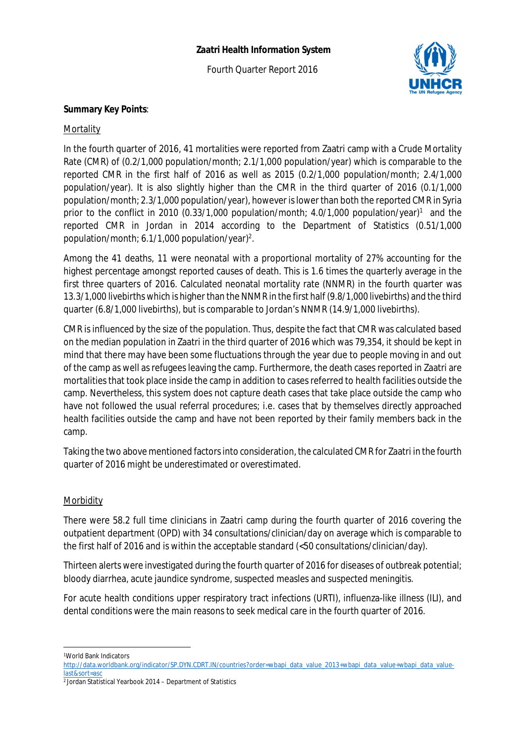# **Zaatri Health Information System**

Fourth Quarter Report 2016



# **Summary Key Points**:

#### **Mortality**

In the fourth quarter of 2016, 41 mortalities were reported from Zaatri camp with a Crude Mortality Rate (CMR) of (0.2/1,000 population/month; 2.1/1,000 population/year) which is comparable to the reported CMR in the first half of 2016 as well as 2015 (0.2/1,000 population/month; 2.4/1,000 population/year). It is also slightly higher than the CMR in the third quarter of 2016 (0.1/1,000 population/month; 2.3/1,000 population/year), however is lower than both the reported CMR in Syria prior to the conflict in 2010 (0.33/1,000 population/month; 4.0/1,000 population/year)<sup>1</sup> and the reported CMR in Jordan in 2014 according to the Department of Statistics (0.51/1,000 population/month; 6.1/1,000 population/year)<sup>2</sup>.

Among the 41 deaths, 11 were neonatal with a proportional mortality of 27% accounting for the highest percentage amongst reported causes of death. This is 1.6 times the quarterly average in the first three quarters of 2016. Calculated neonatal mortality rate (NNMR) in the fourth quarter was 13.3/1,000 livebirths which is higher than the NNMR in the first half (9.8/1,000 livebirths) and the third quarter (6.8/1,000 livebirths), but is comparable to Jordan's NNMR (14.9/1,000 livebirths).

CMR is influenced by the size of the population. Thus, despite the fact that CMR was calculated based on the median population in Zaatri in the third quarter of 2016 which was 79,354, it should be kept in mind that there may have been some fluctuations through the year due to people moving in and out of the camp as well as refugees leaving the camp. Furthermore, the death cases reported in Zaatri are mortalities that took place inside the camp in addition to cases referred to health facilities outside the camp. Nevertheless, this system does not capture death cases that take place outside the camp who have not followed the usual referral procedures; i.e. cases that by themselves directly approached health facilities outside the camp and have not been reported by their family members back in the camp.

Taking the two above mentioned factors into consideration, the calculated CMR for Zaatri in the fourth quarter of 2016 might be underestimated or overestimated.

#### **Morbidity**

There were 58.2 full time clinicians in Zaatri camp during the fourth quarter of 2016 covering the outpatient department (OPD) with 34 consultations/clinician/day on average which is comparable to the first half of 2016 and is within the acceptable standard (<50 consultations/clinician/day).

Thirteen alerts were investigated during the fourth quarter of 2016 for diseases of outbreak potential; bloody diarrhea, acute jaundice syndrome, suspected measles and suspected meningitis.

For acute health conditions upper respiratory tract infections (URTI), influenza-like illness (ILI), and dental conditions were the main reasons to seek medical care in the fourth quarter of 2016.

 $\overline{a}$ <sup>1</sup>World Bank Indicators

http://data.worldbank.org/indicator/SP.DYN.CDRT.IN/countries?order=wbapi\_data\_value\_2013+wbapi\_data\_value+wbapi\_data\_valuelast&sort=asc

<sup>2</sup>Jordan Statistical Yearbook 2014 – Department of Statistics